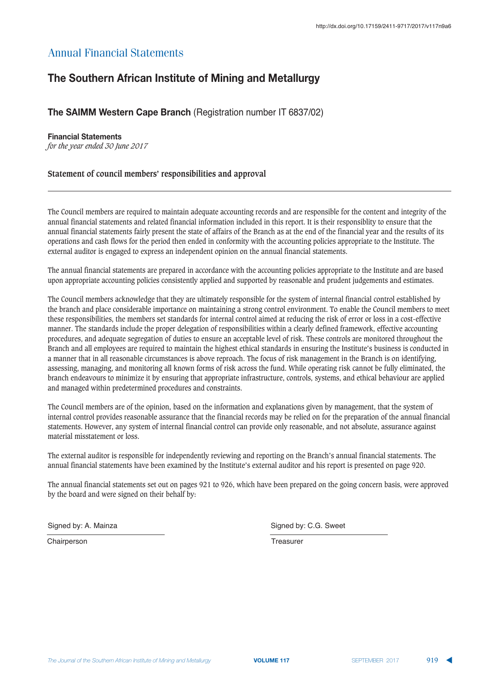# <u> **The Southern African Institute of Mining and Metallurgy**  $\frac{1}{\sqrt{2}}$ **</u>**

## **The SAIMM Western Cape Branch (Registration number IT 6837/02)**

### **Einancial Statements**

*for the year ended 30 June 2017*

## **Statement of council members' responsibilities and approval**

The Council members are required to maintain adequate accounting records and are responsible for the content and integrity of the annual financial statements and related financial information included in this report. It is their responsiblity to ensure that the annual financial statements fairly present the state of affairs of the Branch as at the end of the financial year and the results of its operations and cash flows for the period then ended in conformity with the accounting policies appropriate to the Institute. The external auditor is engaged to express an independent opinion on the annual financial statements.

The annual financial statements are prepared in accordance with the accounting policies appropriate to the Institute and are based upon appropriate accounting policies consistently applied and supported by reasonable and prudent judgements and estimates.

The Council members acknowledge that they are ultimately responsible for the system of internal financial control established by the branch and place considerable importance on maintaining a strong control environment. To enable the Council members to meet these responsibilities, the members set standards for internal control aimed at reducing the risk of error or loss in a cost-effective manner. The standards include the proper delegation of responsibilities within a clearly defined framework, effective accounting procedures, and adequate segregation of duties to ensure an acceptable level of risk. These controls are monitored throughout the Branch and all employees are required to maintain the highest ethical standards in ensuring the Institute's business is conducted in a manner that in all reasonable circumstances is above reproach. The focus of risk management in the Branch is on identifying, assessing, managing, and monitoring all known forms of risk across the fund. While operating risk cannot be fully eliminated, the branch endeavours to minimize it by ensuring that appropriate infrastructure, controls, systems, and ethical behaviour are applied and managed within predetermined procedures and constraints.

The Council members are of the opinion, based on the information and explanations given by management, that the system of internal control provides reasonable assurance that the financial records may be relied on for the preparation of the annual financial statements. However, any system of internal financial control can provide only reasonable, and not absolute, assurance against material misstatement or loss.

The external auditor is responsible for independently reviewing and reporting on the Branch's annual financial statements. The annual financial statements have been examined by the Institute's external auditor and his report is presented on page 920.

The annual financial statements set out on pages 921 to 926, which have been prepared on the going concern basis, were approved by the board and were signed on their behalf by:

Chairperson **Treasurer** Treasurer

Signed by: A. Mainza **Signed by: A. Mainza** Signed by: C.G. Sweet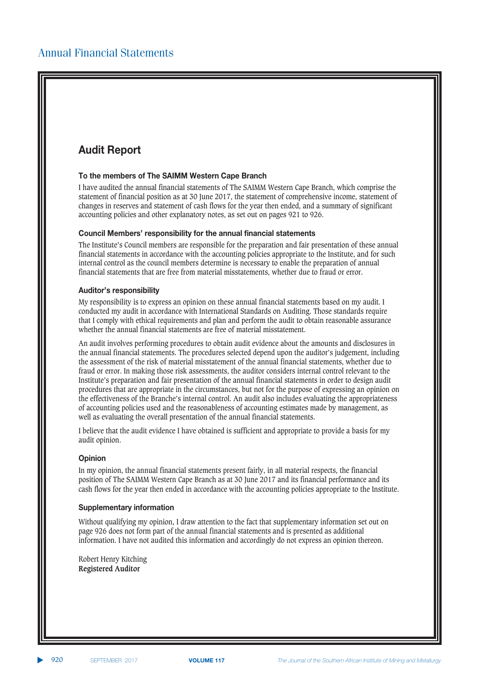# **Audit Report**

### **To the members of The SAIMM Western Cape Branch**

I have audited the annual financial statements of The SAIMM Western Cape Branch, which comprise the statement of financial position as at 30 June 2017, the statement of comprehensive income, statement of changes in reserves and statement of cash flows for the year then ended, and a summary of significant accounting policies and other explanatory notes, as set out on pages 921 to 926.

### $\bf{C}$  council Members' responsibility for the annual financial statements

The Institute's Council members are responsible for the preparation and fair presentation of these annual financial statements in accordance with the accounting policies appropriate to the Institute, and for such internal control as the council members determine is necessary to enable the preparation of annual financial statements that are free from material misstatements, whether due to fraud or error.

## **Auditor's responsibility**

My responsibility is to express an opinion on these annual financial statements based on my audit. I conducted my audit in accordance with International Standards on Auditing. Those standards require that I comply with ethical requirements and plan and perform the audit to obtain reasonable assurance whether the annual financial statements are free of material misstatement.

An audit involves performing procedures to obtain audit evidence about the amounts and disclosures in the annual financial statements. The procedures selected depend upon the auditor's judgement, including the assessment of the risk of material misstatement of the annual financial statements, whether due to fraud or error. In making those risk assessments, the auditor considers internal control relevant to the Institute's preparation and fair presentation of the annual financial statements in order to design audit procedures that are appropriate in the circumstances, but not for the purpose of expressing an opinion on the effectiveness of the Branche's internal control. An audit also includes evaluating the appropriateness of accounting policies used and the reasonableness of accounting estimates made by management, as well as evaluating the overall presentation of the annual financial statements.

I believe that the audit evidence I have obtained is sufficient and appropriate to provide a basis for my audit opinion.

#### **Opinion**

In my opinion, the annual financial statements present fairly, in all material respects, the financial position of The SAIMM Western Cape Branch as at 30 June 2017 and its financial performance and its cash flows for the year then ended in accordance with the accounting policies appropriate to the Institute.

### **Supplementary information**

Without qualifying my opinion, I draw attention to the fact that supplementary information set out on page 926 does not form part of the annual financial statements and is presented as additional information. I have not audited this information and accordingly do not express an opinion thereon.

Robert Henry Kitching **Registered Auditor**

▲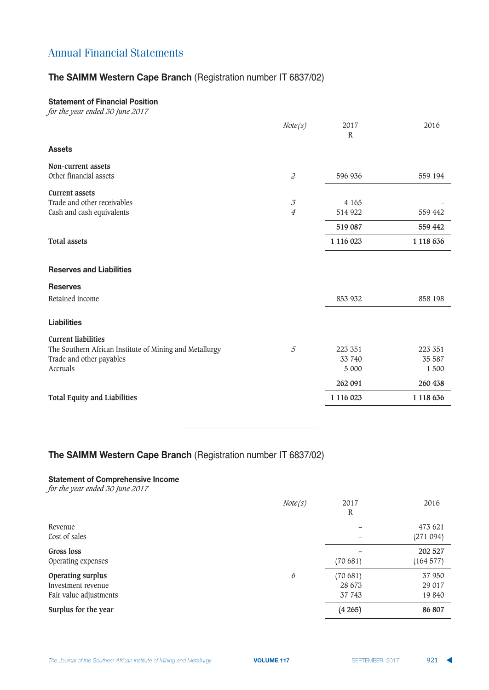# **The SAIMM Western Cape Branch (Registration number IT 6837/02)**

## **Statement of Financial Position**

*for the year ended 30 June 2017*

|                                                         | Note(s)                                                  | 2017<br>$\mathbb{R}$ | 2016          |
|---------------------------------------------------------|----------------------------------------------------------|----------------------|---------------|
| <b>Assets</b>                                           |                                                          |                      |               |
| Non-current assets                                      |                                                          |                      |               |
| Other financial assets                                  | $\mathcal Z$                                             | 596 936              | 559 194       |
| <b>Current assets</b>                                   |                                                          |                      |               |
| Trade and other receivables                             | $\mathcal{J}% _{G}(\theta)\equiv\mathcal{J}_{G}(\theta)$ | 4 1 6 5              |               |
| Cash and cash equivalents                               | $\overline{4}$                                           | 514 922              | 559 442       |
|                                                         |                                                          | 519 087              | 559 442       |
| <b>Total assets</b>                                     |                                                          | 1 116 023            | 1 1 1 8 6 3 6 |
| <b>Reserves and Liabilities</b>                         |                                                          |                      |               |
| <b>Reserves</b>                                         |                                                          |                      |               |
| Retained income                                         |                                                          | 853 932              | 858 198       |
| <b>Liabilities</b>                                      |                                                          |                      |               |
| <b>Current liabilities</b>                              |                                                          |                      |               |
| The Southern African Institute of Mining and Metallurgy | $\mathcal{5}$                                            | 223 351              | 223 351       |
| Trade and other payables                                |                                                          | 33 740               | 35 587        |
| Accruals                                                |                                                          | 5 000                | 1 500         |
|                                                         |                                                          | 262 091              | 260 438       |
| <b>Total Equity and Liabilities</b>                     |                                                          | 1 116 023            | 1 118 636     |
|                                                         |                                                          |                      |               |

# **The SAIMM Western Cape Branch (Registration number IT 6837/02)**

### **Statement of Comprehensive Income**

*for the year ended 30 June 2017*

|                                                                   | Note(s) | 2017<br>R                   | 2016                      |
|-------------------------------------------------------------------|---------|-----------------------------|---------------------------|
| Revenue<br>Cost of sales                                          |         |                             | 473 621<br>(271 094)      |
| Gross loss<br>Operating expenses                                  |         | (70681)                     | 202 527<br>(164577)       |
| Operating surplus<br>Investment revenue<br>Fair value adjustments | 6       | (70681)<br>28 673<br>37 743 | 37 950<br>29 017<br>19840 |
| Surplus for the year                                              |         | (4265)                      | 86 807                    |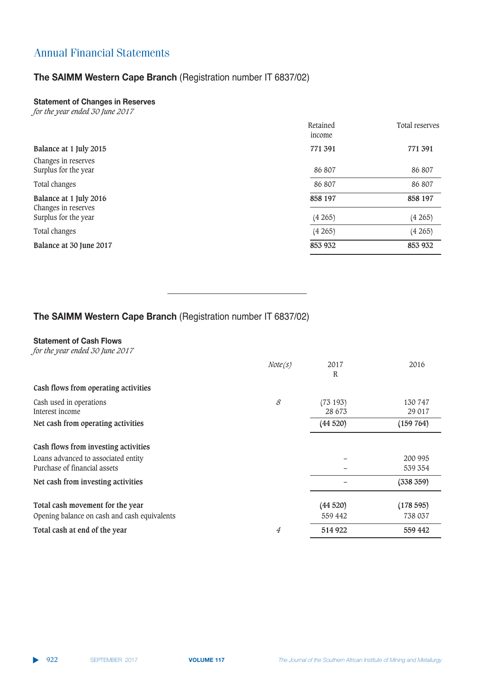# **The SAIMM Western Cape Branch (Registration number IT 6837/02)**

## $k$   $\frac{1}{2}$  **<b>**  $\frac{1}{2}$   $\frac{1}{2}$   $\frac{1}{2}$   $\frac{1}{2}$   $\frac{1}{2}$   $\frac{1}{2}$   $\frac{1}{2}$   $\frac{1}{2}$   $\frac{1}{2}$   $\frac{1}{2}$   $\frac{1}{2}$   $\frac{1}{2}$   $\frac{1}{2}$   $\frac{1}{2}$   $\frac{1}{2}$   $\frac{1}{2}$   $\frac{1}{2}$

*for the year ended 30 June 2017*

|                                               | Retained<br>income | Total reserves |
|-----------------------------------------------|--------------------|----------------|
| Balance at 1 July 2015                        | 771 391            | 771 391        |
| Changes in reserves<br>Surplus for the year   | 86 807             | 86 807         |
| Total changes                                 | 86 807             | 86 807         |
| Balance at 1 July 2016<br>Changes in reserves | 858 197            | 858 197        |
| Surplus for the year                          | (4265)             | (4265)         |
| Total changes                                 | (4265)             | (4265)         |
| Balance at 30 June 2017                       | 853 932            | 853 932        |

## **The SAIMM Western Cape Branch (Registration number IT 6837/02)**

### $k$  **Statement of Cash Flows**

*for the year ended 30 June 2017*

|                                                                                  | Note(s)        | 2017<br>R          | 2016                |
|----------------------------------------------------------------------------------|----------------|--------------------|---------------------|
| Cash flows from operating activities                                             |                |                    |                     |
| Cash used in operations<br>Interest income                                       | 8              | (73193)<br>28 673  | 130 747<br>29 017   |
| Net cash from operating activities                                               |                | (44520)            | (159 764)           |
| Cash flows from investing activities                                             |                |                    |                     |
| Loans advanced to associated entity<br>Purchase of financial assets              |                |                    | 200 995<br>539 354  |
| Net cash from investing activities                                               |                |                    | (338 359)           |
| Total cash movement for the year<br>Opening balance on cash and cash equivalents |                | (44520)<br>559 442 | (178595)<br>738 037 |
| Total cash at end of the year                                                    | $\overline{A}$ | 514 922            | 559 442             |

▲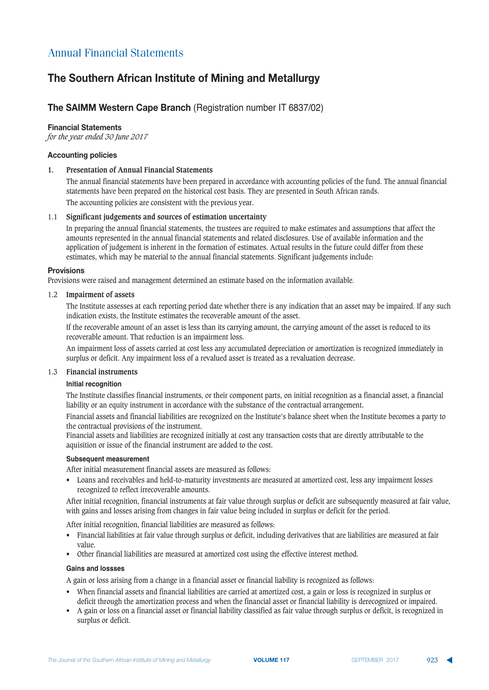# The Southern African Institute of Mining and Metallurgy

## **The SAIMM Western Cape Branch (Registration number IT 6837/02)**

#### **Financial Statements**

*for the year ended 30 June 2017*

#### **Accounting policies**

#### **1. Presentation of Annual Financial Statements**

The annual financial statements have been prepared in accordance with accounting policies of the fund. The annual financial statements have been prepared on the historical cost basis. They are presented in South African rands.

The accounting policies are consistent with the previous year.

#### 1.1 **Significant judgements and sources of estimation uncertainty**

In preparing the annual financial statements, the trustees are required to make estimates and assumptions that affect the amounts represented in the annual financial statements and related disclosures. Use of available information and the application of judgement is inherent in the formation of estimates. Actual results in the future could differ from these estimates, which may be material to the annual financial statements. Significant judgements include:

#### **Provisions**

Provisions were raised and management determined an estimate based on the information available.

#### 1.2 **Impairment of assets**

The Institute assesses at each reporting period date whether there is any indication that an asset may be impaired. If any such indication exists, the Institute estimates the recoverable amount of the asset.

If the recoverable amount of an asset is less than its carrying amount, the carrying amount of the asset is reduced to its recoverable amount. That reduction is an impairment loss.

An impairment loss of assets carried at cost less any accumulated depreciation or amortization is recognized immediately in surplus or deficit. Any impairment loss of a revalued asset is treated as a revaluation decrease.

#### 1.3 **Financial instruments**

#### **Initial recognition**

The Institute classifies financial instruments, or their component parts, on initial recognition as a financial asset, a financial liability or an equity instrument in accordance with the substance of the contractual arrangement.

Financial assets and financial liabilities are recognized on the Institute's balance sheet when the Institute becomes a party to the contractual provisions of the instrument.

Financial assets and liabilities are recognized initially at cost any transaction costs that are directly attributable to the aquisition or issue of the financial instrument are added to the cost.

#### **Subsequent measurement**

After initial measurement financial assets are measured as follows:

• Loans and receivables and held-to-maturity investments are measured at amortized cost, less any impairment losses recognized to reflect irrecoverable amounts.

After initial recognition, financial instruments at fair value through surplus or deficit are subsequently measured at fair value, with gains and losses arising from changes in fair value being included in surplus or deficit for the period.

After initial recognition, financial liabilities are measured as follows:

- Financial liabilities at fair value through surplus or deficit, including derivatives that are liabilities are measured at fair value.
- Other financial liabilities are measured at amortized cost using the effective interest method.

#### **Gains and lossses**

A gain or loss arising from a change in a financial asset or financial liability is recognized as follows:

- When financial assets and financial liabilities are carried at amortized cost, a gain or loss is recognized in surplus or deficit through the amortization process and when the financial asset or financial liability is derecognized or impaired.
- A gain or loss on a financial asset or financial liability classified as fair value through surplus or deficit, is recognized in surplus or deficit.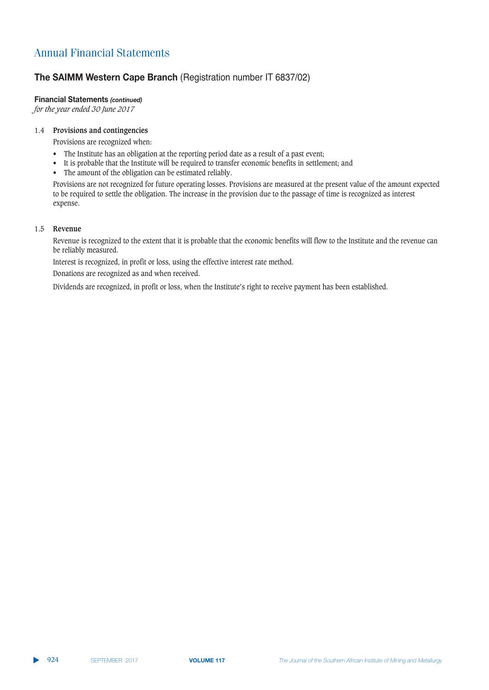# **The SAIMM Western Cape Branch (Registration number IT 6837/02)**

## **Financial Statements (continued)**

*for the year ended 30 June 2017*

### 1.4 **Provisions and contingencies**

Provisions are recognized when:

- The Institute has an obligation at the reporting period date as a result of a past event;
- It is probable that the Institute will be required to transfer economic benefits in settlement; and
- The amount of the obligation can be estimated reliably.

Provisions are not recognized for future operating losses. Provisions are measured at the present value of the amount expected to be required to settle the obligation. The increase in the provision due to the passage of time is recognized as interest expense.

### 1.5 **Revenue**

Revenue is recognized to the extent that it is probable that the economic benefits will flow to the Institute and the revenue can be reliably measured.

Interest is recognized, in profit or loss, using the effective interest rate method.

Donations are recognized as and when received.

Dividends are recognized, in profit or loss, when the Institute's right to receive payment has been established.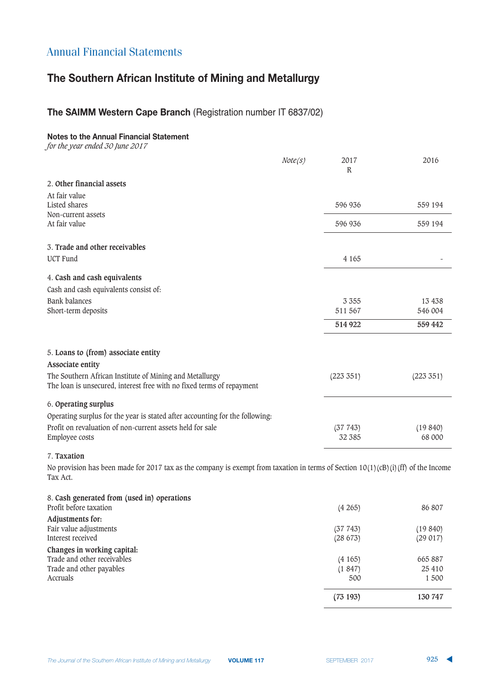# The Southern African Institute of Mining and Metallurgy

## **The SAIMM Western Cape Branch (Registration number IT 6837/02)**

### **Notes to the Annual Financial Statement**

*for the year ended 30 June 2017*

|                                                                                                                                  | Note(s) | 2017<br>$\mathbb{R}$ | 2016              |
|----------------------------------------------------------------------------------------------------------------------------------|---------|----------------------|-------------------|
| 2. Other financial assets                                                                                                        |         |                      |                   |
| At fair value<br>Listed shares<br>Non-current assets                                                                             |         | 596 936              | 559 194           |
| At fair value                                                                                                                    |         | 596 936              | 559 194           |
| 3. Trade and other receivables                                                                                                   |         |                      |                   |
| <b>UCT</b> Fund                                                                                                                  |         | 4 1 6 5              |                   |
| 4. Cash and cash equivalents<br>Cash and cash equivalents consist of:                                                            |         |                      |                   |
| <b>Bank balances</b>                                                                                                             |         | 3 3 5 5              | 13 4 38           |
| Short-term deposits                                                                                                              |         | 511 567              | 546 004           |
|                                                                                                                                  |         | 514 922              | 559 442           |
| 5. Loans to (from) associate entity<br>Associate entity                                                                          |         |                      |                   |
| The Southern African Institute of Mining and Metallurgy<br>The loan is unsecured, interest free with no fixed terms of repayment |         | (223 351)            | (223 351)         |
| 6. Operating surplus<br>Operating surplus for the year is stated after accounting for the following:                             |         |                      |                   |
| Profit on revaluation of non-current assets held for sale<br>Employee costs                                                      |         | (37743)<br>32 385    | (19840)<br>68 000 |

## 7. **Taxation**

No provision has been made for 2017 tax as the company is exempt from taxation in terms of Section 10(1)(cB)(i)(ff) of the Income Tax Act.

| 86 807  |
|---------|
|         |
| (19840) |
| (29017) |
|         |
| 665887  |
| 25 410  |
| 1500    |
| 130 747 |
|         |